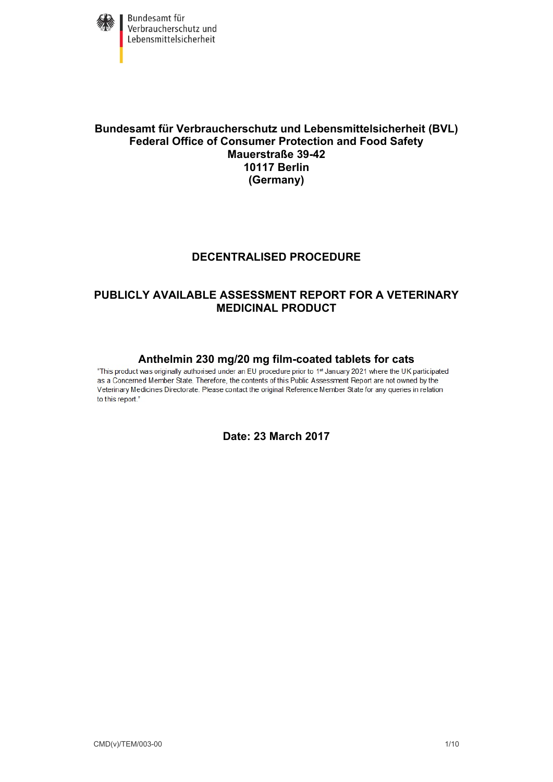

Bundesamt für Verbraucherschutz und<br>Lebensmittelsicherheit

# **Bundesamt für Verbraucherschutz und Lebensmittelsicherheit (BVL) Federal Office of Consumer Protection and Food Safety Mauerstraße 39-42 10117 Berlin (Germany)**

# **DECENTRALISED PROCEDURE**

# **PUBLICLY AVAILABLE ASSESSMENT REPORT FOR A VETERINARY MEDICINAL PRODUCT**

**Anthelmin 230 mg/20 mg film-coated tablets for cats**<br>"This product was originally authorised under an EU procedure prior to 1<sup>st</sup> January 2021 where the UK participated as a Concerned Member State. Therefore, the contents of this Public Assessment Report are not owned by the Veterinary Medicines Directorate. Please contact the original Reference Member State for any queries in relation to this report."

# **Date: 23 March 2017**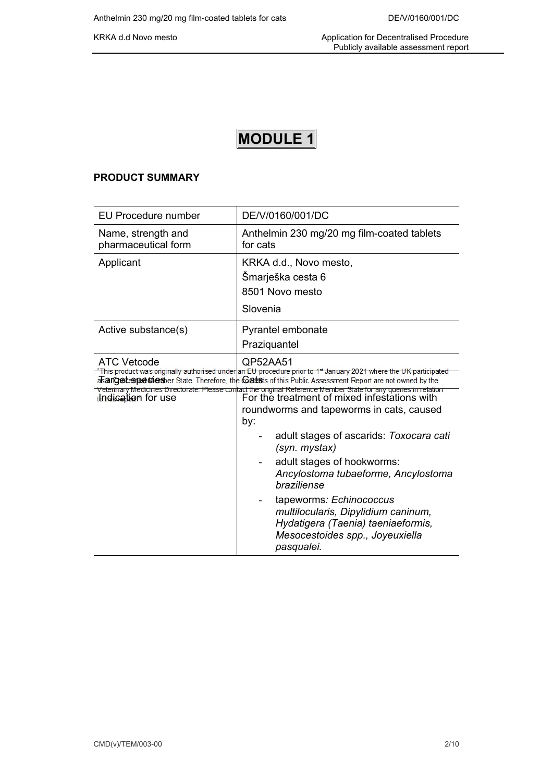# **MODULE 1**

## **PRODUCT SUMMARY**

| EU Procedure number                       | DE/V/0160/001/DC                                                                                                                                                                                                                                                                                                                                                                                                                                                                                                                                                                                                                                                                                                                                                         |
|-------------------------------------------|--------------------------------------------------------------------------------------------------------------------------------------------------------------------------------------------------------------------------------------------------------------------------------------------------------------------------------------------------------------------------------------------------------------------------------------------------------------------------------------------------------------------------------------------------------------------------------------------------------------------------------------------------------------------------------------------------------------------------------------------------------------------------|
| Name, strength and<br>pharmaceutical form | Anthelmin 230 mg/20 mg film-coated tablets<br>for cats                                                                                                                                                                                                                                                                                                                                                                                                                                                                                                                                                                                                                                                                                                                   |
| Applicant                                 | KRKA d.d., Novo mesto,<br>Šmarješka cesta 6<br>8501 Novo mesto<br>Slovenia                                                                                                                                                                                                                                                                                                                                                                                                                                                                                                                                                                                                                                                                                               |
| Active substance(s)                       | Pyrantel embonate<br>Praziquantel                                                                                                                                                                                                                                                                                                                                                                                                                                                                                                                                                                                                                                                                                                                                        |
| <b>ATC Vetcode</b><br>thalication for use | QP52AA51<br>"This product was originally authorised under an EU procedure prior to 1st January 2021 where the UK participated<br>asarciet specules berstate. Therefore, the Catsis of this Public Assessment Report are not owned by the<br>Veterinary Medicines Directorate. Please contact the original Reference Member State for any queries in relation<br>For the treatment of mixed infestations with<br>roundworms and tapeworms in cats, caused<br>by:<br>adult stages of ascarids: Toxocara cati<br>(syn. mystax)<br>adult stages of hookworms:<br>Ancylostoma tubaeforme, Ancylostoma<br>braziliense<br>tapeworms: Echinococcus<br>multilocularis, Dipylidium caninum,<br>Hydatigera (Taenia) taeniaeformis,<br>Mesocestoides spp., Joyeuxiella<br>pasqualei. |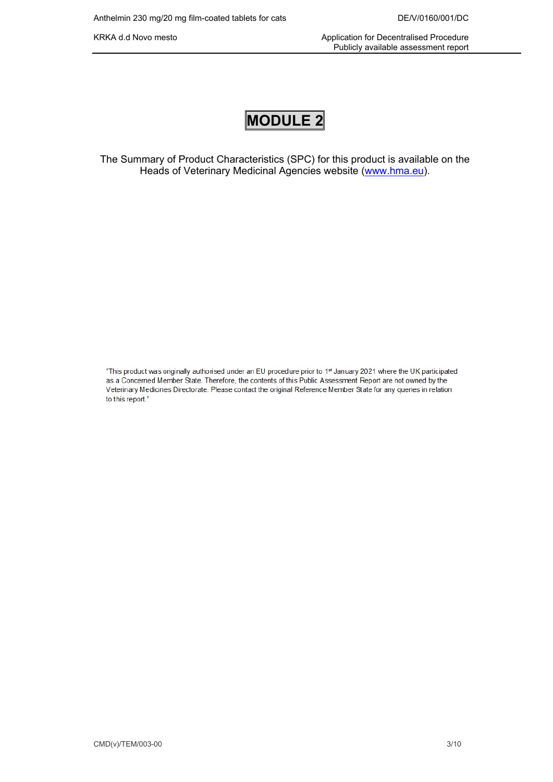KRKA d.d Novo mesto **Application for Decentralised Procedure** Application for Decentralised Procedure Publicly available assessment report

# **MODULE 2**

The Summary of Product Characteristics (SPC) for this product is available on the Heads of Veterinary Medicinal Agencies website ([www.hma.eu](http://www.hma.eu/)).

"This product was originally authorised under an EU procedure prior to 1st January 2021 where the UK participated as a Concerned Member State. Therefore, the contents of this Public Assessment Report are not owned by the Veterinary Medicines Directorate. Please contact the original Reference Member State for any queries in relation to this report."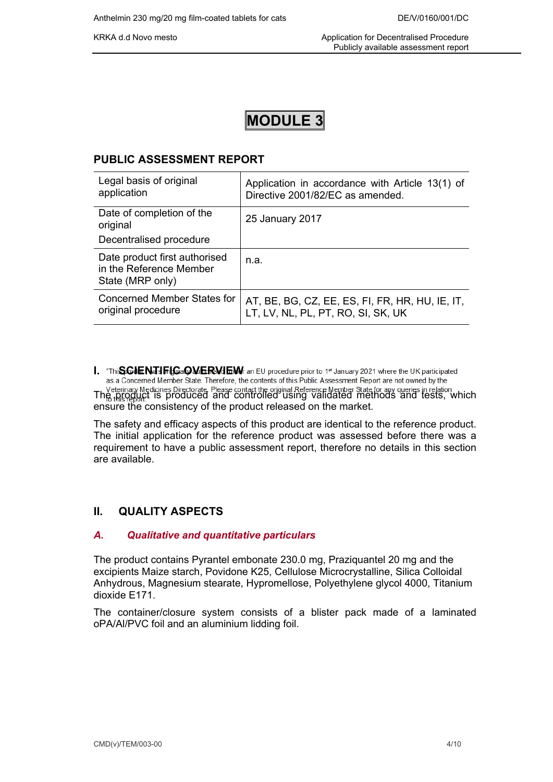# **MODULE 3**

# **PUBLIC ASSESSMENT REPORT**

| Legal basis of original<br>application                                       | Application in accordance with Article 13(1) of<br>Directive 2001/82/EC as amended.   |
|------------------------------------------------------------------------------|---------------------------------------------------------------------------------------|
| Date of completion of the<br>original                                        | 25 January 2017                                                                       |
| Decentralised procedure                                                      |                                                                                       |
| Date product first authorised<br>in the Reference Member<br>State (MRP only) | n.a.                                                                                  |
| Concerned Member States for<br>original procedure                            | AT, BE, BG, CZ, EE, ES, FI, FR, HR, HU, IE, IT,<br>LT, LV, NL, PL, PT, RO, SI, SK, UK |

I. "Thi**SCIENTIFICaOVERVIEW** an EU procedure prior to 1<sup>st</sup> January 2021 where the UK participated as a Concerned Member State. Therefore, the contents of this Public Assessment Report are not owned by the Veterinary Medicines Directorate, Please contact the original Reference Member State for any queries in relation<br>The <sub>this passes</sub>, which and controlled using validated methods and tests, which ensure the consistency of the product released on the market.

The safety and efficacy aspects of this product are identical to the reference product. The initial application for the reference product was assessed before there was a requirement to have a public assessment report, therefore no details in this section are available.

# **II. QUALITY ASPECTS**

## *A. Qualitative and quantitative particulars*

The product contains Pyrantel embonate 230.0 mg, Praziquantel 20 mg and the excipients Maize starch, Povidone K25, Cellulose Microcrystalline, Silica Colloidal Anhydrous, Magnesium stearate, Hypromellose, Polyethylene glycol 4000, Titanium dioxide E171.

The container/closure system consists of a blister pack made of a laminated oPA/Al/PVC foil and an aluminium lidding foil.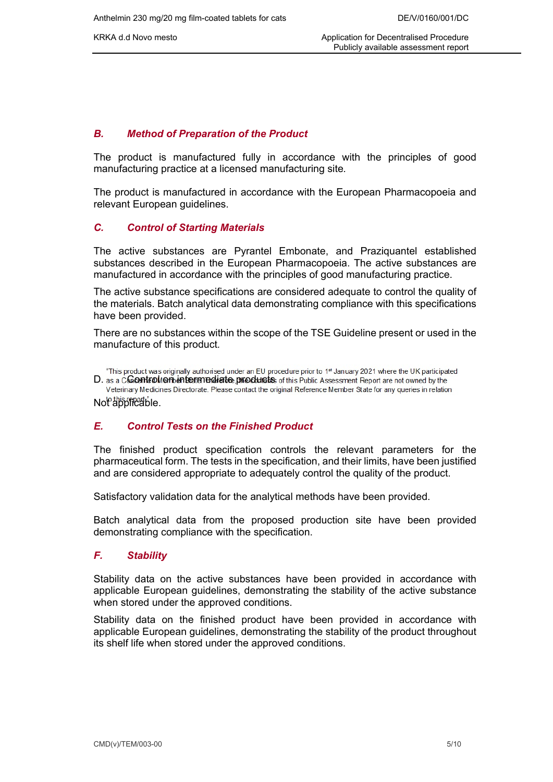KRKA d.d Novo mesto **Application for Decentralised Procedure** Application for Decentralised Procedure Publicly available assessment report

### *B. Method of Preparation of the Product*

The product is manufactured fully in accordance with the principles of good manufacturing practice at a licensed manufacturing site*.*

The product is manufactured in accordance with the European Pharmacopoeia and relevant European guidelines.

#### *C. Control of Starting Materials*

The active substances are Pyrantel Embonate, and Praziquantel established substances described in the European Pharmacopoeia. The active substances are manufactured in accordance with the principles of good manufacturing practice.

The active substance specifications are considered adequate to control the quality of the materials. Batch analytical data demonstrating compliance with this specifications have been provided.

There are no substances within the scope of the TSE Guideline present or used in the manufacture of this product*.*

"This product was originally authorised under an EU procedure prior to 1st January 2021 where the UK participated  $D$ . as a Controll on intermediate products of this Public Assessment Report are not owned by the Veterinary Medicines Directorate. Please contact the original Reference Member State for any queries in relation Note this repeat of le.

#### *E. Control Tests on the Finished Product*

The finished product specification controls the relevant parameters for the pharmaceutical form. The tests in the specification, and their limits, have been justified and are considered appropriate to adequately control the quality of the product.

Satisfactory validation data for the analytical methods have been provided.

Batch analytical data from the proposed production site have been provided demonstrating compliance with the specification.

#### *F. Stability*

Stability data on the active substances have been provided in accordance with applicable European guidelines, demonstrating the stability of the active substance when stored under the approved conditions.

Stability data on the finished product have been provided in accordance with applicable European guidelines, demonstrating the stability of the product throughout its shelf life when stored under the approved conditions.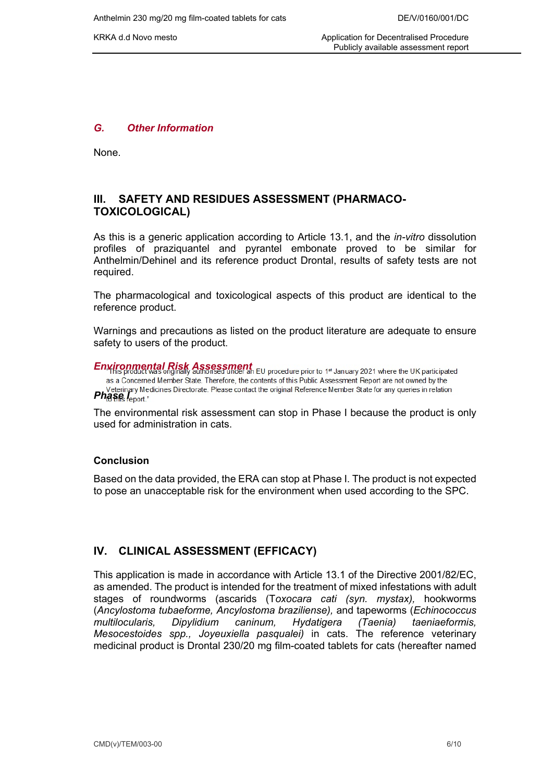KRKA d.d Novo mesto **Application for Decentralised Procedure** Application for Decentralised Procedure Publicly available assessment report

#### *G. Other Information*

None.

# **III. SAFETY AND RESIDUES ASSESSMENT (PHARMACO-TOXICOLOGICAL)**

As this is a generic application according to Article 13.1, and the *in-vitro* dissolution profiles of praziquantel and pyrantel embonate proved to be similar for Anthelmin/Dehinel and its reference product Drontal, results of safety tests are not required.

The pharmacological and toxicological aspects of this product are identical to the reference product.

Warnings and precautions as listed on the product literature are adequate to ensure safety to users of the product.

*Environmental Risk Assessment*  as a Concerned Member State. Therefore, the contents of this Public Assessment Report are not owned by the **Phase** *I* electingly Medicines Directorate. Please contact the original Reference Member State for any queries in relation **Phase** *I* enort "

The environmental risk assessment can stop in Phase I because the product is only used for administration in cats.

#### **Conclusion**

Based on the data provided, the ERA can stop at Phase I. The product is not expected to pose an unacceptable risk for the environment when used according to the SPC.

## **IV. CLINICAL ASSESSMENT (EFFICACY)**

This application is made in accordance with Article 13.1 of the Directive 2001/82/EC, as amended. The product is intended for the treatment of mixed infestations with adult stages of roundworms (ascarids (T*oxocara cati (syn. mystax),* hookworms (*Ancylostoma tubaeforme, Ancylostoma braziliense),* and tapeworms (*Echinococcus multilocularis, Dipylidium caninum, Hydatigera (Taenia) taeniaeformis, Mesocestoides spp., Joyeuxiella pasqualei)* in cats. The reference veterinary medicinal product is Drontal 230/20 mg film-coated tablets for cats (hereafter named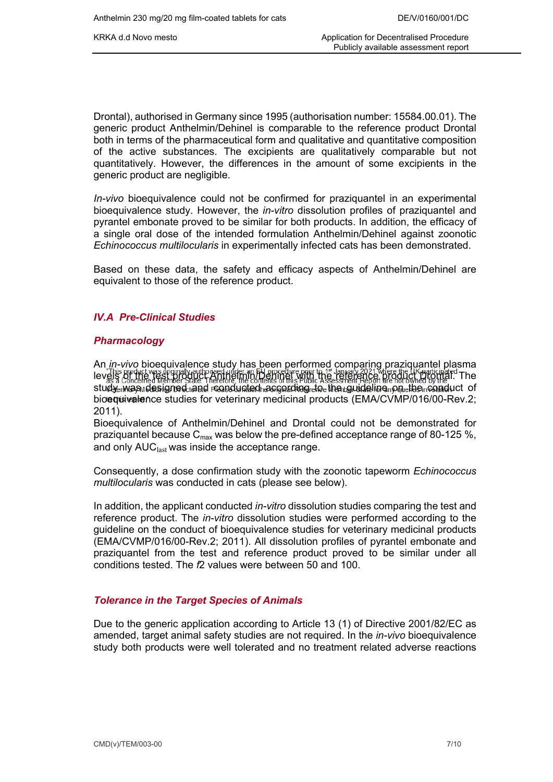Drontal), authorised in Germany since 1995 (authorisation number: 15584.00.01). The generic product Anthelmin/Dehinel is comparable to the reference product Drontal both in terms of the pharmaceutical form and qualitative and quantitative composition of the active substances. The excipients are qualitatively comparable but not quantitatively. However, the differences in the amount of some excipients in the generic product are negligible.

*In-vivo* bioequivalence could not be confirmed for praziquantel in an experimental bioequivalence study. However, the *in-vitro* dissolution profiles of praziquantel and pyrantel embonate proved to be similar for both products. In addition, the efficacy of a single oral dose of the intended formulation Anthelmin/Dehinel against zoonotic *Echinococcus multilocularis* in experimentally infected cats has been demonstrated.

Based on these data, the safety and efficacy aspects of Anthelmin/Dehinel are equivalent to those of the reference product.

# *IV.A Pre-Clinical Studies*

# *Pharmacology*

An *in-vivo* bioequivalence study has been performed comparing praziquantel plasma levels or the test product was originally authorised under an EU procedure prior to 1<sup>st</sup> January 2021 Mhere the UK participated The levels of the reference product Drontal. The levels of this product Drontal. The referenc  ${\sf student}$  study  $\sf w$  and  $\sf q$  and  $\sf r$  canducted according to the pulleline  $\sf o$  on the conduct of bioequivalence studies for veterinary medicinal products (EMA/CVMP/016/00-Rev.2; 2011).

Bioequivalence of Anthelmin/Dehinel and Drontal could not be demonstrated for praziquantel because  $C_{\text{max}}$  was below the pre-defined acceptance range of 80-125 %, and only AUC<sub>last</sub> was inside the acceptance range.

Consequently, a dose confirmation study with the zoonotic tapeworm *Echinococcus multilocularis* was conducted in cats (please see below).

In addition, the applicant conducted *in-vitro* dissolution studies comparing the test and reference product. The *in-vitro* dissolution studies were performed according to the guideline on the conduct of bioequivalence studies for veterinary medicinal products (EMA/CVMP/016/00-Rev.2; 2011). All dissolution profiles of pyrantel embonate and praziquantel from the test and reference product proved to be similar under all conditions tested. The *f*2 values were between 50 and 100.

# *Tolerance in the Target Species of Animals*

Due to the generic application according to Article 13 (1) of Directive 2001/82/EC as amended, target animal safety studies are not required. In the *in-vivo* bioequivalence study both products were well tolerated and no treatment related adverse reactions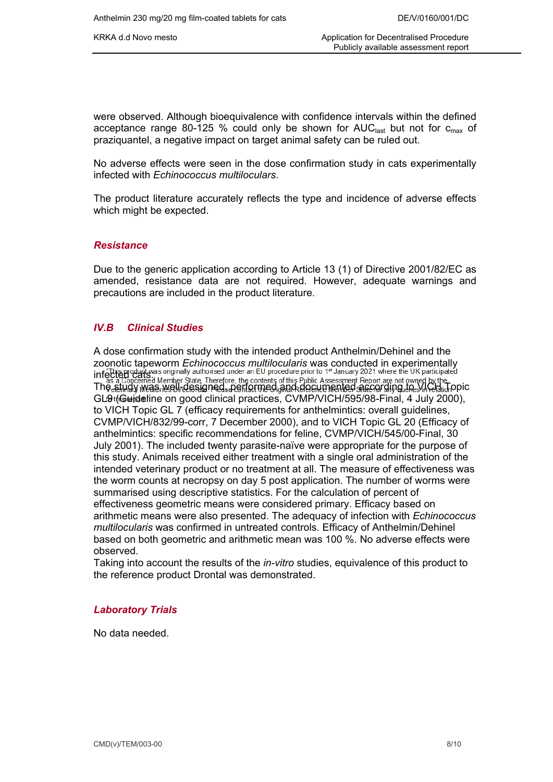were observed. Although bioequivalence with confidence intervals within the defined acceptance range 80-125 % could only be shown for  $AUC<sub>last</sub>$  but not for  $c<sub>max</sub>$  of praziquantel, a negative impact on target animal safety can be ruled out.

No adverse effects were seen in the dose confirmation study in cats experimentally infected with *Echinococcus multiloculars*.

The product literature accurately reflects the type and incidence of adverse effects which might be expected.

#### *Resistance*

Due to the generic application according to Article 13 (1) of Directive 2001/82/EC as amended, resistance data are not required. However, adequate warnings and precautions are included in the product literature.

#### *IV.B Clinical Studies*

A dose confirmation study with the intended product Anthelmin/Dehinel and the zoonotic tapeworm *Echinococcus multilocularis* was conducted in experimentally infected cats. The study was well-designed, performed and documented according to VICH Topic GL9 (Guideline on good clinical practices, CVMP/VICH/595/98-Final, 4 July 2000), to VICH Topic GL 7 (efficacy requirements for anthelmintics: overall guidelines, CVMP/VICH/832/99-corr, 7 December 2000), and to VICH Topic GL 20 (Efficacy of anthelmintics: specific recommendations for feline, CVMP/VICH/545/00-Final, 30 July 2001). The included twenty parasite-naïve were appropriate for the purpose of this study. Animals received either treatment with a single oral administration of the intended veterinary product or no treatment at all. The measure of effectiveness was the worm counts at necropsy on day 5 post application. The number of worms were summarised using descriptive statistics. For the calculation of percent of effectiveness geometric means were considered primary. Efficacy based on arithmetic means were also presented. The adequacy of infection with *Echinococcus multilocularis* was confirmed in untreated controls. Efficacy of Anthelmin/Dehinel based on both geometric and arithmetic mean was 100 %. No adverse effects were observed.

Taking into account the results of the *in-vitro* studies, equivalence of this product to the reference product Drontal was demonstrated.

#### *Laboratory Trials*

No data needed.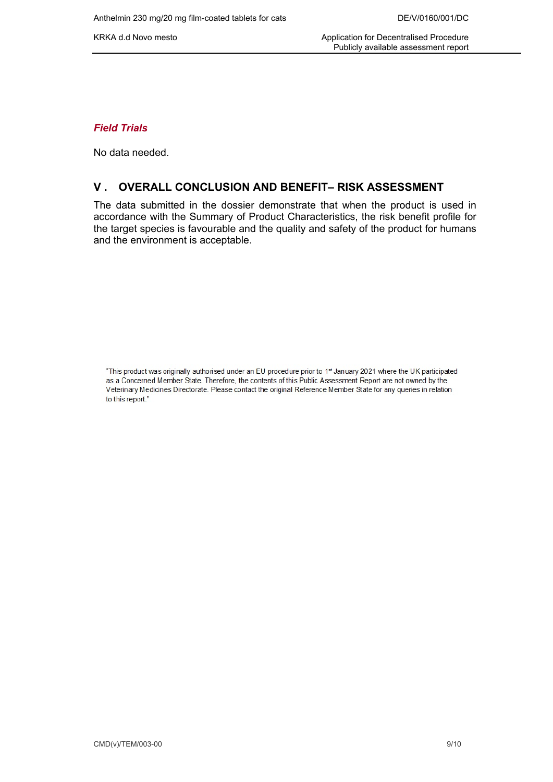### *Field Trials*

No data needed.

## **V . OVERALL CONCLUSION AND BENEFIT– RISK ASSESSMENT**

The data submitted in the dossier demonstrate that when the product is used in accordance with the Summary of Product Characteristics, the risk benefit profile for the target species is favourable and the quality and safety of the product for humans and the environment is acceptable.

"This product was originally authorised under an EU procedure prior to 1st January 2021 where the UK participated as a Concerned Member State. Therefore, the contents of this Public Assessment Report are not owned by the Veterinary Medicines Directorate. Please contact the original Reference Member State for any queries in relation to this report."